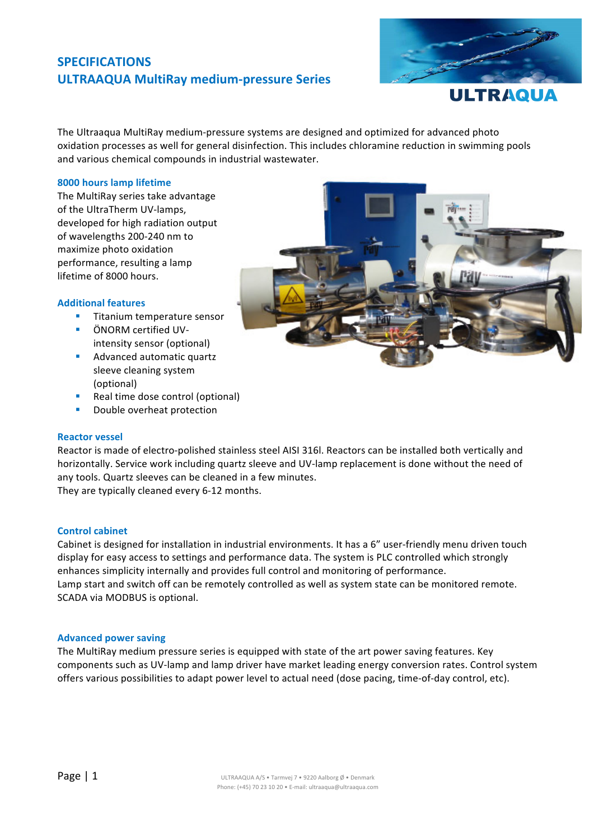# **SPECIFICATIONS ULTRAAQUA MultiRay medium-pressure Series**



**ULTRAQUA** 

The Ultraaqua MultiRay medium-pressure systems are designed and optimized for advanced photo oxidation processes as well for general disinfection. This includes chloramine reduction in swimming pools and various chemical compounds in industrial wastewater.

## **8000 hours lamp lifetime**

The MultiRay series take advantage of the UltraTherm UV-lamps, developed for high radiation output of wavelengths 200-240 nm to maximize photo oxidation performance, resulting a lamp lifetime of 8000 hours.

### **Additional features**

- Titanium temperature sensor
- ÖNORM certified UVintensity sensor (optional)
- **EXECUTE:** Advanced automatic quartz sleeve cleaning system (optional)
- Real time dose control (optional)
- **•** Double overheat protection

### **Reactor vessel**

Reactor is made of electro-polished stainless steel AISI 316l. Reactors can be installed both vertically and horizontally. Service work including quartz sleeve and UV-lamp replacement is done without the need of any tools. Quartz sleeves can be cleaned in a few minutes. They are typically cleaned every 6-12 months.

**Control cabinet**

Cabinet is designed for installation in industrial environments. It has a 6" user-friendly menu driven touch display for easy access to settings and performance data. The system is PLC controlled which strongly enhances simplicity internally and provides full control and monitoring of performance. Lamp start and switch off can be remotely controlled as well as system state can be monitored remote. SCADA via MODBUS is optional.

### **Advanced power saving**

The MultiRay medium pressure series is equipped with state of the art power saving features. Key components such as UV-lamp and lamp driver have market leading energy conversion rates. Control system offers various possibilities to adapt power level to actual need (dose pacing, time-of-day control, etc).

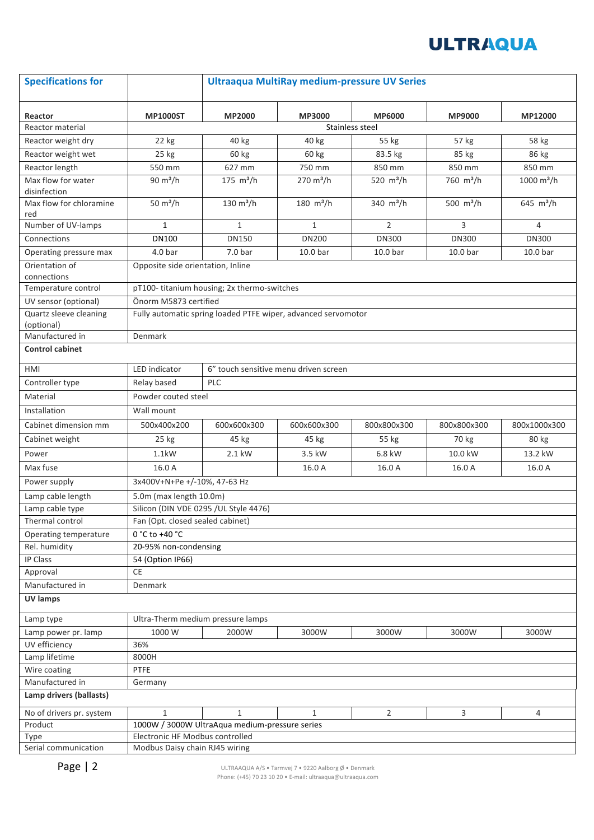# **ULTRAQUA**

| <b>Specifications for</b>               |                                                               | <b>Ultraaqua MultiRay medium-pressure UV Series</b> |                     |                       |                       |                     |  |
|-----------------------------------------|---------------------------------------------------------------|-----------------------------------------------------|---------------------|-----------------------|-----------------------|---------------------|--|
| Reactor                                 | <b>MP1000ST</b>                                               | <b>MP2000</b>                                       | <b>MP3000</b>       | <b>MP6000</b>         | <b>MP9000</b>         | MP12000             |  |
| Reactor material                        |                                                               | Stainless steel                                     |                     |                       |                       |                     |  |
| Reactor weight dry                      | 22 kg                                                         | 40 kg                                               | 40 kg               | 55 kg                 | 57 kg                 | 58 kg               |  |
| Reactor weight wet                      | 25 kg                                                         | 60 kg                                               | 60 kg               | 83.5 kg               | 85 kg                 | 86 kg               |  |
| Reactor length                          | 550 mm                                                        | 627 mm                                              | 750 mm              | 850 mm                | 850 mm                | 850 mm              |  |
| Max flow for water                      | $90 \text{ m}^3/h$                                            | 175 $m^3/h$                                         | $270 \text{ m}^3/h$ | 520 m <sup>3</sup> /h | 760 m <sup>3</sup> /h | 1000 $m^3/h$        |  |
| disinfection<br>Max flow for chloramine | $50 \text{ m}^3/h$                                            | $130 \text{ m}^3/h$                                 | 180 $m^3/h$         | 340 m <sup>3</sup> /h | 500 $m^3/h$           | 645 $m^3/h$         |  |
| red                                     |                                                               |                                                     |                     |                       |                       |                     |  |
| Number of UV-lamps                      | $\mathbf{1}$                                                  | $\mathbf{1}$                                        | $\mathbf{1}$        | $\overline{2}$        | 3                     | 4                   |  |
| Connections                             | <b>DN100</b>                                                  | <b>DN150</b>                                        | <b>DN200</b>        | <b>DN300</b>          | <b>DN300</b>          | <b>DN300</b>        |  |
| Operating pressure max                  | 4.0 <sub>bar</sub>                                            | 7.0 <sub>bar</sub>                                  | 10.0 <sub>bar</sub> | 10.0 <sub>bar</sub>   | 10.0 <sub>bar</sub>   | 10.0 <sub>bar</sub> |  |
| Orientation of<br>connections           | Opposite side orientation, Inline                             |                                                     |                     |                       |                       |                     |  |
| Temperature control                     | pT100-titanium housing; 2x thermo-switches                    |                                                     |                     |                       |                       |                     |  |
| UV sensor (optional)                    | Önorm M5873 certified                                         |                                                     |                     |                       |                       |                     |  |
| Quartz sleeve cleaning                  | Fully automatic spring loaded PTFE wiper, advanced servomotor |                                                     |                     |                       |                       |                     |  |
| (optional)                              |                                                               |                                                     |                     |                       |                       |                     |  |
| Manufactured in                         | Denmark                                                       |                                                     |                     |                       |                       |                     |  |
| <b>Control cabinet</b>                  |                                                               |                                                     |                     |                       |                       |                     |  |
| HMI                                     | 6" touch sensitive menu driven screen<br><b>LED</b> indicator |                                                     |                     |                       |                       |                     |  |
| Controller type                         | Relay based<br><b>PLC</b>                                     |                                                     |                     |                       |                       |                     |  |
| Material                                | Powder couted steel                                           |                                                     |                     |                       |                       |                     |  |
| Installation                            | Wall mount                                                    |                                                     |                     |                       |                       |                     |  |
| Cabinet dimension mm                    | 500x400x200                                                   | 600x600x300                                         | 600x600x300         | 800x800x300           | 800x800x300           | 800x1000x300        |  |
| Cabinet weight                          | 25 kg                                                         | 45 kg                                               | 45 kg               | 55 kg                 | 70 kg                 | 80 kg               |  |
| Power                                   | $1.1$ kW                                                      | 2.1 kW                                              | 3.5 kW              | 6.8 kW                | 10.0 kW               | 13.2 kW             |  |
| Max fuse                                | 16.0 A                                                        |                                                     | 16.0 A              | 16.0 A                | 16.0 A                | 16.0 A              |  |
| Power supply                            | 3x400V+N+Pe +/-10%, 47-63 Hz                                  |                                                     |                     |                       |                       |                     |  |
| Lamp cable length                       | 5.0m (max length 10.0m)                                       |                                                     |                     |                       |                       |                     |  |
| Lamp cable type                         | Silicon (DIN VDE 0295 /UL Style 4476)                         |                                                     |                     |                       |                       |                     |  |
| Thermal control                         | Fan (Opt. closed sealed cabinet)                              |                                                     |                     |                       |                       |                     |  |
| Operating temperature                   | 0 °C to +40 °C                                                |                                                     |                     |                       |                       |                     |  |
| Rel. humidity                           | 20-95% non-condensing                                         |                                                     |                     |                       |                       |                     |  |
| IP Class                                | 54 (Option IP66)                                              |                                                     |                     |                       |                       |                     |  |
| Approval                                | CE                                                            |                                                     |                     |                       |                       |                     |  |
| Manufactured in                         | Denmark                                                       |                                                     |                     |                       |                       |                     |  |
| <b>UV lamps</b>                         |                                                               |                                                     |                     |                       |                       |                     |  |
| Lamp type                               | Ultra-Therm medium pressure lamps                             |                                                     |                     |                       |                       |                     |  |
| Lamp power pr. lamp                     | 1000W                                                         | 2000W                                               | 3000W               | 3000W                 | 3000W                 | 3000W               |  |
| UV efficiency                           | 36%                                                           |                                                     |                     |                       |                       |                     |  |
| Lamp lifetime                           | 8000H                                                         |                                                     |                     |                       |                       |                     |  |
| Wire coating                            | <b>PTFE</b>                                                   |                                                     |                     |                       |                       |                     |  |
| Manufactured in                         | Germany                                                       |                                                     |                     |                       |                       |                     |  |
| Lamp drivers (ballasts)                 |                                                               |                                                     |                     |                       |                       |                     |  |
| No of drivers pr. system                | $\mathbf{1}$                                                  | $\mathbf{1}$                                        | $\mathbf{1}$        | 2                     | 3                     | 4                   |  |
| Product                                 | 1000W / 3000W UltraAqua medium-pressure series                |                                                     |                     |                       |                       |                     |  |
| Type                                    | Electronic HF Modbus controlled                               |                                                     |                     |                       |                       |                     |  |
| Serial communication                    | Modbus Daisy chain RJ45 wiring                                |                                                     |                     |                       |                       |                     |  |